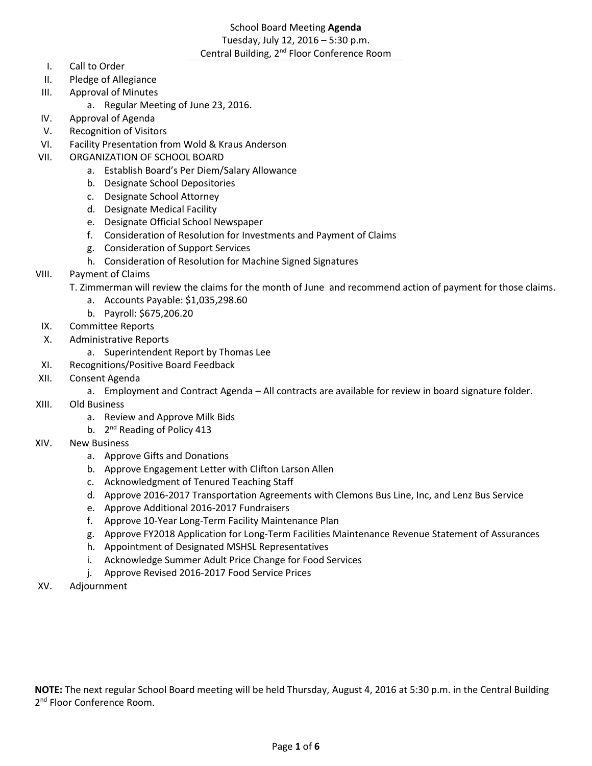# School Board Meeting **Agenda** Tuesday, July 12, 2016 – 5:30 p.m. Central Building, 2<sup>nd</sup> Floor Conference Room

- I. Call to Order
- II. Pledge of Allegiance
- III. Approval of Minutes
	- a. Regular Meeting of June 23, 2016.
- IV. Approval of Agenda
- V. Recognition of Visitors
- VI. Facility Presentation from Wold & Kraus Anderson
- VII. ORGANIZATION OF SCHOOL BOARD
	- a. Establish Board's Per Diem/Salary Allowance
	- b. Designate School Depositories
	- c. Designate School Attorney
	- d. Designate Medical Facility
	- e. Designate Official School Newspaper
	- f. Consideration of Resolution for Investments and Payment of Claims
	- g. Consideration of Support Services
	- h. Consideration of Resolution for Machine Signed Signatures
- VIII. Payment of Claims
	- T. Zimmerman will review the claims for the month of June and recommend action of payment for those claims.
		- a. Accounts Payable: \$1,035,298.60
		- b. Payroll: \$675,206.20
- IX. Committee Reports
- X. Administrative Reports
	- a. Superintendent Report by Thomas Lee
- XI. Recognitions/Positive Board Feedback
- XII. Consent Agenda
	- a. Employment and Contract Agenda All contracts are available for review in board signature folder.
- XIII. Old Business
	- a. Review and Approve Milk Bids
	- b. 2<sup>nd</sup> Reading of Policy 413
- XIV. New Business
	- a. Approve Gifts and Donations
	- b. Approve Engagement Letter with Clifton Larson Allen
	- c. Acknowledgment of Tenured Teaching Staff
	- d. Approve 2016-2017 Transportation Agreements with Clemons Bus Line, Inc, and Lenz Bus Service
	- e. Approve Additional 2016-2017 Fundraisers
	- f. Approve 10-Year Long-Term Facility Maintenance Plan
	- g. Approve FY2018 Application for Long-Term Facilities Maintenance Revenue Statement of Assurances
	- h. Appointment of Designated MSHSL Representatives
	- i. Acknowledge Summer Adult Price Change for Food Services
	- j. Approve Revised 2016-2017 Food Service Prices
- XV. Adjournment

**NOTE:** The next regular School Board meeting will be held Thursday, August 4, 2016 at 5:30 p.m. in the Central Building 2<sup>nd</sup> Floor Conference Room.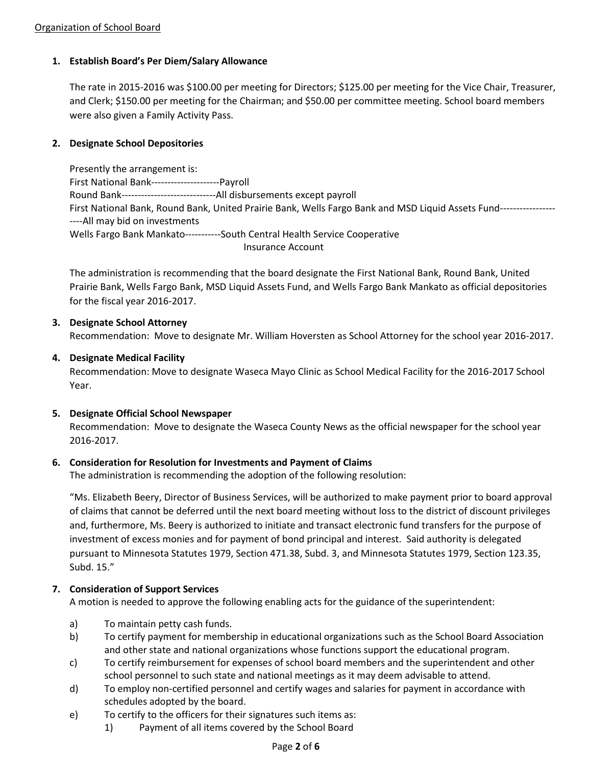# **1. Establish Board's Per Diem/Salary Allowance**

The rate in 2015-2016 was \$100.00 per meeting for Directors; \$125.00 per meeting for the Vice Chair, Treasurer, and Clerk; \$150.00 per meeting for the Chairman; and \$50.00 per committee meeting. School board members were also given a Family Activity Pass.

### **2. Designate School Depositories**

Presently the arrangement is: First National Bank---------------------Payroll Round Bank-----------------------------All disbursements except payroll First National Bank, Round Bank, United Prairie Bank, Wells Fargo Bank and MSD Liquid Assets Fund----------------- ----All may bid on investments Wells Fargo Bank Mankato-----------South Central Health Service Cooperative Insurance Account

The administration is recommending that the board designate the First National Bank, Round Bank, United Prairie Bank, Wells Fargo Bank, MSD Liquid Assets Fund, and Wells Fargo Bank Mankato as official depositories for the fiscal year 2016-2017.

#### **3. Designate School Attorney**

Recommendation: Move to designate Mr. William Hoversten as School Attorney for the school year 2016-2017.

## **4. Designate Medical Facility**

Recommendation: Move to designate Waseca Mayo Clinic as School Medical Facility for the 2016-2017 School Year.

#### **5. Designate Official School Newspaper**

Recommendation: Move to designate the Waseca County News as the official newspaper for the school year 2016-2017.

#### **6. Consideration for Resolution for Investments and Payment of Claims**

The administration is recommending the adoption of the following resolution:

"Ms. Elizabeth Beery, Director of Business Services, will be authorized to make payment prior to board approval of claims that cannot be deferred until the next board meeting without loss to the district of discount privileges and, furthermore, Ms. Beery is authorized to initiate and transact electronic fund transfers for the purpose of investment of excess monies and for payment of bond principal and interest. Said authority is delegated pursuant to Minnesota Statutes 1979, Section 471.38, Subd. 3, and Minnesota Statutes 1979, Section 123.35, Subd. 15."

#### **7. Consideration of Support Services**

A motion is needed to approve the following enabling acts for the guidance of the superintendent:

- a) To maintain petty cash funds.
- b) To certify payment for membership in educational organizations such as the School Board Association and other state and national organizations whose functions support the educational program.
- c) To certify reimbursement for expenses of school board members and the superintendent and other school personnel to such state and national meetings as it may deem advisable to attend.
- d) To employ non-certified personnel and certify wages and salaries for payment in accordance with schedules adopted by the board.
- e) To certify to the officers for their signatures such items as:
	- 1) Payment of all items covered by the School Board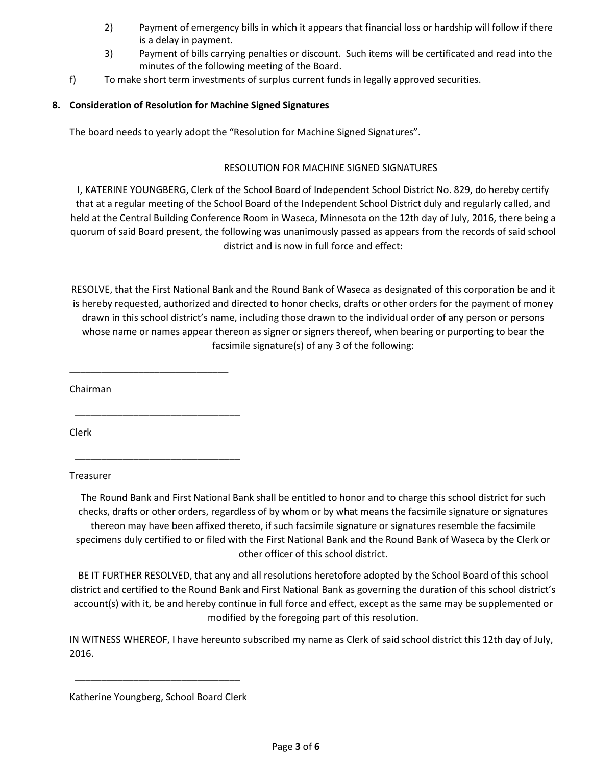- 2) Payment of emergency bills in which it appears that financial loss or hardship will follow if there is a delay in payment.
- 3) Payment of bills carrying penalties or discount. Such items will be certificated and read into the minutes of the following meeting of the Board.
- f) To make short term investments of surplus current funds in legally approved securities.

# **8. Consideration of Resolution for Machine Signed Signatures**

The board needs to yearly adopt the "Resolution for Machine Signed Signatures".

# RESOLUTION FOR MACHINE SIGNED SIGNATURES

I, KATERINE YOUNGBERG, Clerk of the School Board of Independent School District No. 829, do hereby certify that at a regular meeting of the School Board of the Independent School District duly and regularly called, and held at the Central Building Conference Room in Waseca, Minnesota on the 12th day of July, 2016, there being a quorum of said Board present, the following was unanimously passed as appears from the records of said school district and is now in full force and effect:

RESOLVE, that the First National Bank and the Round Bank of Waseca as designated of this corporation be and it is hereby requested, authorized and directed to honor checks, drafts or other orders for the payment of money drawn in this school district's name, including those drawn to the individual order of any person or persons whose name or names appear thereon as signer or signers thereof, when bearing or purporting to bear the facsimile signature(s) of any 3 of the following:

Chairman

\_\_\_\_\_\_\_\_\_\_\_\_\_\_\_\_\_\_\_\_\_\_\_\_\_\_\_\_\_\_

\_\_\_\_\_\_\_\_\_\_\_\_\_\_\_\_\_\_\_\_\_\_\_\_\_\_\_\_\_\_\_

\_\_\_\_\_\_\_\_\_\_\_\_\_\_\_\_\_\_\_\_\_\_\_\_\_\_\_\_\_\_\_

Clerk

Treasurer

The Round Bank and First National Bank shall be entitled to honor and to charge this school district for such checks, drafts or other orders, regardless of by whom or by what means the facsimile signature or signatures thereon may have been affixed thereto, if such facsimile signature or signatures resemble the facsimile specimens duly certified to or filed with the First National Bank and the Round Bank of Waseca by the Clerk or other officer of this school district.

BE IT FURTHER RESOLVED, that any and all resolutions heretofore adopted by the School Board of this school district and certified to the Round Bank and First National Bank as governing the duration of this school district's account(s) with it, be and hereby continue in full force and effect, except as the same may be supplemented or modified by the foregoing part of this resolution.

IN WITNESS WHEREOF, I have hereunto subscribed my name as Clerk of said school district this 12th day of July, 2016.

\_\_\_\_\_\_\_\_\_\_\_\_\_\_\_\_\_\_\_\_\_\_\_\_\_\_\_\_\_\_\_

Katherine Youngberg, School Board Clerk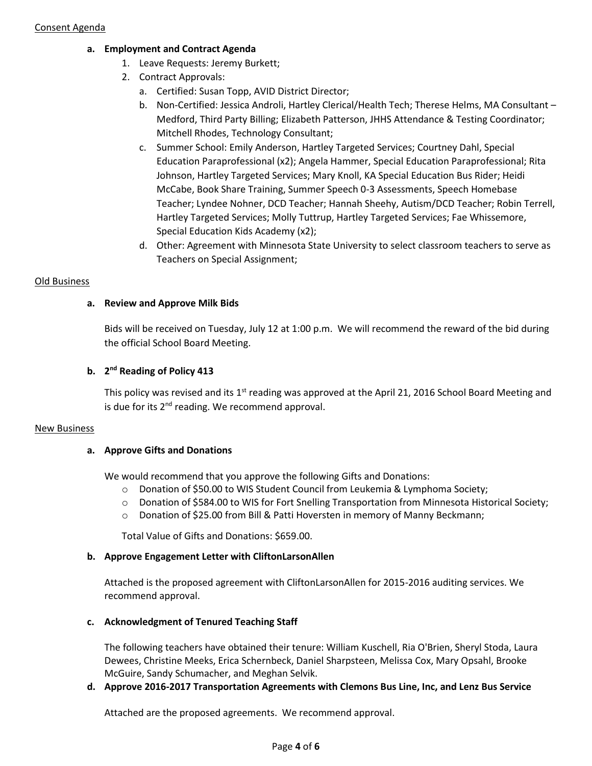- **a. Employment and Contract Agenda**
	- 1. Leave Requests: Jeremy Burkett;
	- 2. Contract Approvals:
		- a. Certified: Susan Topp, AVID District Director;
		- b. Non-Certified: Jessica Androli, Hartley Clerical/Health Tech; Therese Helms, MA Consultant Medford, Third Party Billing; Elizabeth Patterson, JHHS Attendance & Testing Coordinator; Mitchell Rhodes, Technology Consultant;
		- c. Summer School: Emily Anderson, Hartley Targeted Services; Courtney Dahl, Special Education Paraprofessional (x2); Angela Hammer, Special Education Paraprofessional; Rita Johnson, Hartley Targeted Services; Mary Knoll, KA Special Education Bus Rider; Heidi McCabe, Book Share Training, Summer Speech 0-3 Assessments, Speech Homebase Teacher; Lyndee Nohner, DCD Teacher; Hannah Sheehy, Autism/DCD Teacher; Robin Terrell, Hartley Targeted Services; Molly Tuttrup, Hartley Targeted Services; Fae Whissemore, Special Education Kids Academy (x2);
		- d. Other: Agreement with Minnesota State University to select classroom teachers to serve as Teachers on Special Assignment;

## Old Business

## **a. Review and Approve Milk Bids**

Bids will be received on Tuesday, July 12 at 1:00 p.m. We will recommend the reward of the bid during the official School Board Meeting.

# **b. 2 nd Reading of Policy 413**

This policy was revised and its  $1<sup>st</sup>$  reading was approved at the April 21, 2016 School Board Meeting and is due for its  $2<sup>nd</sup>$  reading. We recommend approval.

#### New Business

#### **a. Approve Gifts and Donations**

We would recommend that you approve the following Gifts and Donations:

- o Donation of \$50.00 to WIS Student Council from Leukemia & Lymphoma Society;
- $\circ$  Donation of \$584.00 to WIS for Fort Snelling Transportation from Minnesota Historical Society;
- o Donation of \$25.00 from Bill & Patti Hoversten in memory of Manny Beckmann;

Total Value of Gifts and Donations: \$659.00.

#### **b. Approve Engagement Letter with CliftonLarsonAllen**

Attached is the proposed agreement with CliftonLarsonAllen for 2015-2016 auditing services. We recommend approval.

#### **c. Acknowledgment of Tenured Teaching Staff**

The following teachers have obtained their tenure: William Kuschell, Ria O'Brien, Sheryl Stoda, Laura Dewees, Christine Meeks, Erica Schernbeck, Daniel Sharpsteen, Melissa Cox, Mary Opsahl, Brooke McGuire, Sandy Schumacher, and Meghan Selvik.

#### **d. Approve 2016-2017 Transportation Agreements with Clemons Bus Line, Inc, and Lenz Bus Service**

Attached are the proposed agreements. We recommend approval.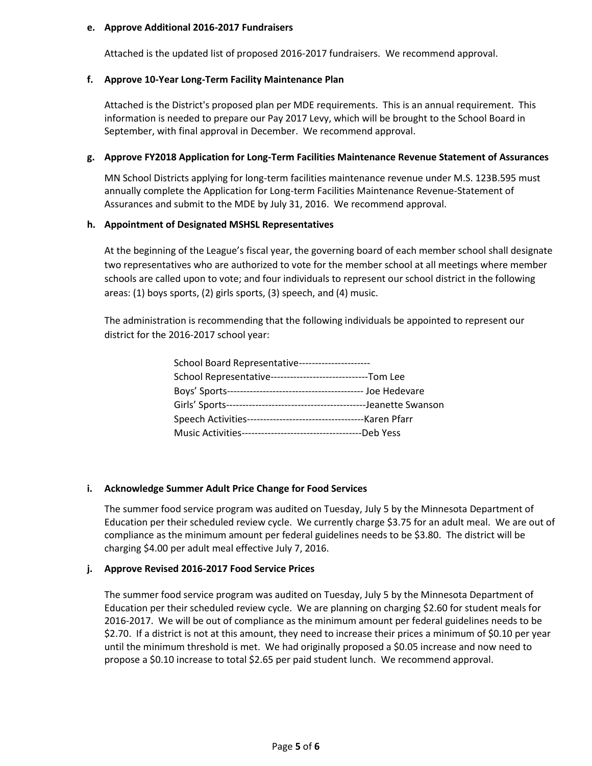#### **e. Approve Additional 2016-2017 Fundraisers**

Attached is the updated list of proposed 2016-2017 fundraisers. We recommend approval.

### **f. Approve 10-Year Long-Term Facility Maintenance Plan**

Attached is the District's proposed plan per MDE requirements. This is an annual requirement. This information is needed to prepare our Pay 2017 Levy, which will be brought to the School Board in September, with final approval in December. We recommend approval.

#### **g. Approve FY2018 Application for Long-Term Facilities Maintenance Revenue Statement of Assurances**

MN School Districts applying for long-term facilities maintenance revenue under M.S. 123B.595 must annually complete the Application for Long-term Facilities Maintenance Revenue-Statement of Assurances and submit to the MDE by July 31, 2016. We recommend approval.

#### **h. Appointment of Designated MSHSL Representatives**

At the beginning of the League's fiscal year, the governing board of each member school shall designate two representatives who are authorized to vote for the member school at all meetings where member schools are called upon to vote; and four individuals to represent our school district in the following areas: (1) boys sports, (2) girls sports, (3) speech, and (4) music.

The administration is recommending that the following individuals be appointed to represent our district for the 2016-2017 school year:

| School Board Representative---------------------             |
|--------------------------------------------------------------|
| School Representative--------------------------------Tom Lee |
|                                                              |
|                                                              |
|                                                              |
|                                                              |

#### **i. Acknowledge Summer Adult Price Change for Food Services**

The summer food service program was audited on Tuesday, July 5 by the Minnesota Department of Education per their scheduled review cycle. We currently charge \$3.75 for an adult meal. We are out of compliance as the minimum amount per federal guidelines needs to be \$3.80. The district will be charging \$4.00 per adult meal effective July 7, 2016.

#### **j. Approve Revised 2016-2017 Food Service Prices**

The summer food service program was audited on Tuesday, July 5 by the Minnesota Department of Education per their scheduled review cycle. We are planning on charging \$2.60 for student meals for 2016-2017. We will be out of compliance as the minimum amount per federal guidelines needs to be \$2.70. If a district is not at this amount, they need to increase their prices a minimum of \$0.10 per year until the minimum threshold is met. We had originally proposed a \$0.05 increase and now need to propose a \$0.10 increase to total \$2.65 per paid student lunch. We recommend approval.